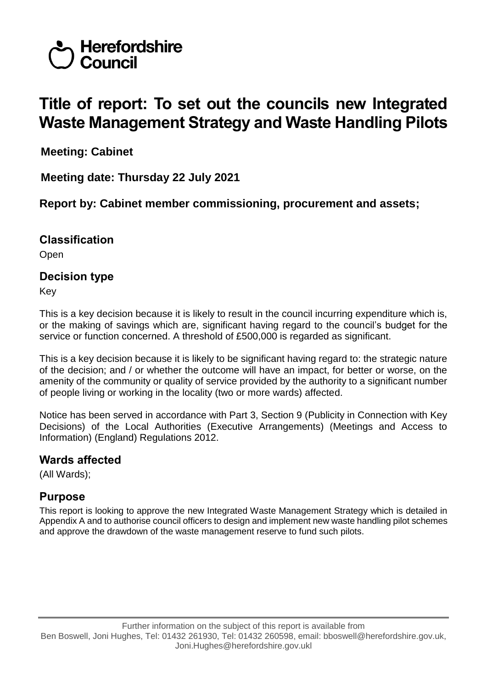

# **Title of report: To set out the councils new Integrated Waste Management Strategy and Waste Handling Pilots**

**Meeting: Cabinet**

**Meeting date: Thursday 22 July 2021**

**Report by: Cabinet member commissioning, procurement and assets;** 

# **Classification**

Open

## **Decision type**

Key

This is a key decision because it is likely to result in the council incurring expenditure which is, or the making of savings which are, significant having regard to the council's budget for the service or function concerned. A threshold of £500,000 is regarded as significant.

This is a key decision because it is likely to be significant having regard to: the strategic nature of the decision; and / or whether the outcome will have an impact, for better or worse, on the amenity of the community or quality of service provided by the authority to a significant number of people living or working in the locality (two or more wards) affected.

Notice has been served in accordance with Part 3, Section 9 (Publicity in Connection with Key Decisions) of the Local Authorities (Executive Arrangements) (Meetings and Access to Information) (England) Regulations 2012.

#### **Wards affected**

(All Wards);

# **Purpose**

This report is looking to approve the new Integrated Waste Management Strategy which is detailed in Appendix A and to authorise council officers to design and implement new waste handling pilot schemes and approve the drawdown of the waste management reserve to fund such pilots.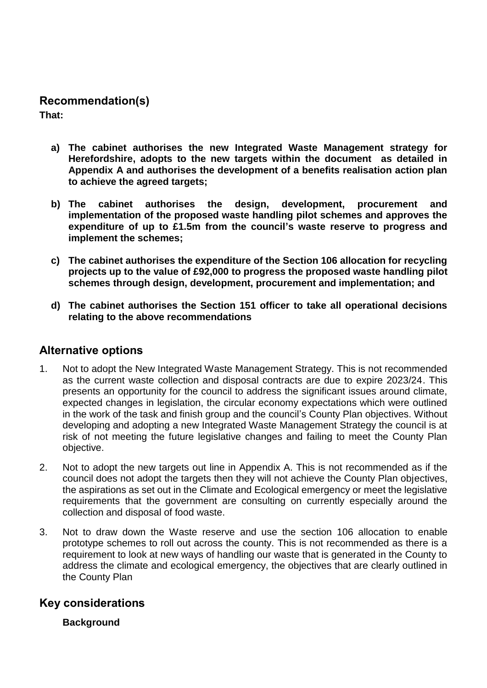#### **Recommendation(s)**

**That:**

- **a) The cabinet authorises the new Integrated Waste Management strategy for Herefordshire, adopts to the new targets within the document as detailed in Appendix A and authorises the development of a benefits realisation action plan to achieve the agreed targets;**
- **b) The cabinet authorises the design, development, procurement and implementation of the proposed waste handling pilot schemes and approves the expenditure of up to £1.5m from the council's waste reserve to progress and implement the schemes;**
- **c) The cabinet authorises the expenditure of the Section 106 allocation for recycling projects up to the value of £92,000 to progress the proposed waste handling pilot schemes through design, development, procurement and implementation; and**
- **d) The cabinet authorises the Section 151 officer to take all operational decisions relating to the above recommendations**

#### **Alternative options**

- 1. Not to adopt the New Integrated Waste Management Strategy. This is not recommended as the current waste collection and disposal contracts are due to expire 2023/24. This presents an opportunity for the council to address the significant issues around climate, expected changes in legislation, the circular economy expectations which were outlined in the work of the task and finish group and the council's County Plan objectives. Without developing and adopting a new Integrated Waste Management Strategy the council is at risk of not meeting the future legislative changes and failing to meet the County Plan objective.
- 2. Not to adopt the new targets out line in Appendix A. This is not recommended as if the council does not adopt the targets then they will not achieve the County Plan objectives, the aspirations as set out in the Climate and Ecological emergency or meet the legislative requirements that the government are consulting on currently especially around the collection and disposal of food waste.
- 3. Not to draw down the Waste reserve and use the section 106 allocation to enable prototype schemes to roll out across the county. This is not recommended as there is a requirement to look at new ways of handling our waste that is generated in the County to address the climate and ecological emergency, the objectives that are clearly outlined in the County Plan

#### **Key considerations**

**Background**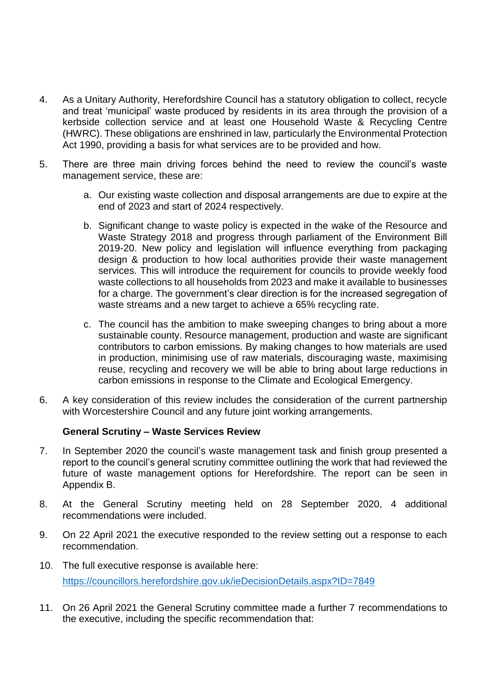- 4. As a Unitary Authority, Herefordshire Council has a statutory obligation to collect, recycle and treat 'municipal' waste produced by residents in its area through the provision of a kerbside collection service and at least one Household Waste & Recycling Centre (HWRC). These obligations are enshrined in law, particularly the Environmental Protection Act 1990, providing a basis for what services are to be provided and how.
- 5. There are three main driving forces behind the need to review the council's waste management service, these are:
	- a. Our existing waste collection and disposal arrangements are due to expire at the end of 2023 and start of 2024 respectively.
	- b. Significant change to waste policy is expected in the wake of the Resource and Waste Strategy 2018 and progress through parliament of the Environment Bill 2019-20. New policy and legislation will influence everything from packaging design & production to how local authorities provide their waste management services. This will introduce the requirement for councils to provide weekly food waste collections to all households from 2023 and make it available to businesses for a charge. The government's clear direction is for the increased segregation of waste streams and a new target to achieve a 65% recycling rate.
	- c. The council has the ambition to make sweeping changes to bring about a more sustainable county. Resource management, production and waste are significant contributors to carbon emissions. By making changes to how materials are used in production, minimising use of raw materials, discouraging waste, maximising reuse, recycling and recovery we will be able to bring about large reductions in carbon emissions in response to the Climate and Ecological Emergency.
- 6. A key consideration of this review includes the consideration of the current partnership with Worcestershire Council and any future joint working arrangements.

#### **General Scrutiny – Waste Services Review**

- 7. In September 2020 the council's waste management task and finish group presented a report to the council's general scrutiny committee outlining the work that had reviewed the future of waste management options for Herefordshire. The report can be seen in Appendix B.
- 8. At the General Scrutiny meeting held on 28 September 2020, 4 additional recommendations were included.
- 9. On 22 April 2021 the executive responded to the review setting out a response to each recommendation.
- 10. The full executive response is available here: <https://councillors.herefordshire.gov.uk/ieDecisionDetails.aspx?ID=7849>
- 11. On 26 April 2021 the General Scrutiny committee made a further 7 recommendations to the executive, including the specific recommendation that: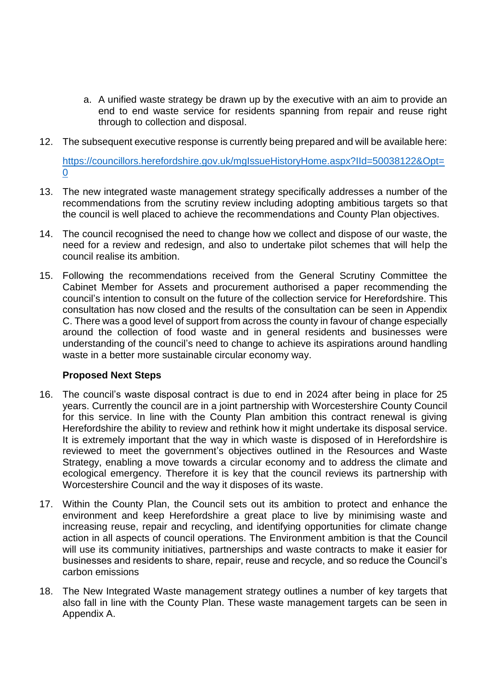- a. A unified waste strategy be drawn up by the executive with an aim to provide an end to end waste service for residents spanning from repair and reuse right through to collection and disposal.
- 12. The subsequent executive response is currently being prepared and will be available here: [https://councillors.herefordshire.gov.uk/mgIssueHistoryHome.aspx?IId=50038122&Opt=](https://councillors.herefordshire.gov.uk/mgIssueHistoryHome.aspx?IId=50038122&Opt=0)

[0](https://councillors.herefordshire.gov.uk/mgIssueHistoryHome.aspx?IId=50038122&Opt=0)

- 13. The new integrated waste management strategy specifically addresses a number of the recommendations from the scrutiny review including adopting ambitious targets so that the council is well placed to achieve the recommendations and County Plan objectives.
- 14. The council recognised the need to change how we collect and dispose of our waste, the need for a review and redesign, and also to undertake pilot schemes that will help the council realise its ambition.
- 15. Following the recommendations received from the General Scrutiny Committee the Cabinet Member for Assets and procurement authorised a paper recommending the council's intention to consult on the future of the collection service for Herefordshire. This consultation has now closed and the results of the consultation can be seen in Appendix C. There was a good level of support from across the county in favour of change especially around the collection of food waste and in general residents and businesses were understanding of the council's need to change to achieve its aspirations around handling waste in a better more sustainable circular economy way.

#### **Proposed Next Steps**

- 16. The council's waste disposal contract is due to end in 2024 after being in place for 25 years. Currently the council are in a joint partnership with Worcestershire County Council for this service. In line with the County Plan ambition this contract renewal is giving Herefordshire the ability to review and rethink how it might undertake its disposal service. It is extremely important that the way in which waste is disposed of in Herefordshire is reviewed to meet the government's objectives outlined in the Resources and Waste Strategy, enabling a move towards a circular economy and to address the climate and ecological emergency. Therefore it is key that the council reviews its partnership with Worcestershire Council and the way it disposes of its waste.
- 17. Within the County Plan, the Council sets out its ambition to protect and enhance the environment and keep Herefordshire a great place to live by minimising waste and increasing reuse, repair and recycling, and identifying opportunities for climate change action in all aspects of council operations. The Environment ambition is that the Council will use its community initiatives, partnerships and waste contracts to make it easier for businesses and residents to share, repair, reuse and recycle, and so reduce the Council's carbon emissions
- 18. The New Integrated Waste management strategy outlines a number of key targets that also fall in line with the County Plan. These waste management targets can be seen in Appendix A.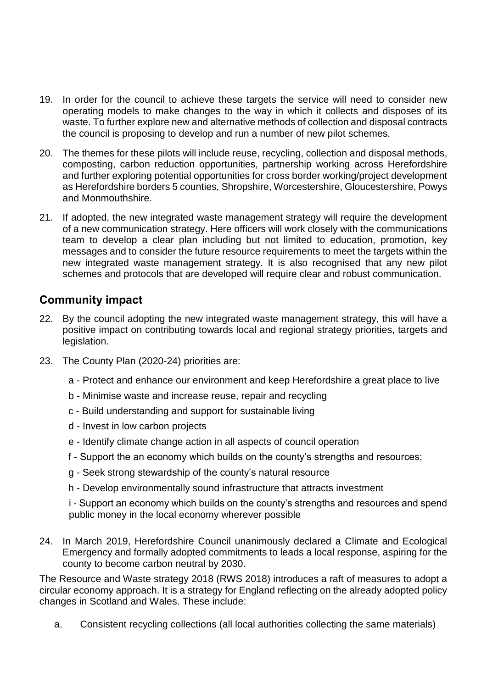- 19. In order for the council to achieve these targets the service will need to consider new operating models to make changes to the way in which it collects and disposes of its waste. To further explore new and alternative methods of collection and disposal contracts the council is proposing to develop and run a number of new pilot schemes.
- 20. The themes for these pilots will include reuse, recycling, collection and disposal methods, composting, carbon reduction opportunities, partnership working across Herefordshire and further exploring potential opportunities for cross border working/project development as Herefordshire borders 5 counties, Shropshire, Worcestershire, Gloucestershire, Powys and Monmouthshire.
- 21. If adopted, the new integrated waste management strategy will require the development of a new communication strategy. Here officers will work closely with the communications team to develop a clear plan including but not limited to education, promotion, key messages and to consider the future resource requirements to meet the targets within the new integrated waste management strategy. It is also recognised that any new pilot schemes and protocols that are developed will require clear and robust communication.

# **Community impact**

- 22. By the council adopting the new integrated waste management strategy, this will have a positive impact on contributing towards local and regional strategy priorities, targets and legislation.
- 23. The County Plan (2020-24) priorities are:
	- a Protect and enhance our environment and keep Herefordshire a great place to live
	- b Minimise waste and increase reuse, repair and recycling
	- c Build understanding and support for sustainable living
	- d Invest in low carbon projects
	- e Identify climate change action in all aspects of council operation
	- f Support the an economy which builds on the county's strengths and resources;
	- g Seek strong stewardship of the county's natural resource
	- h Develop environmentally sound infrastructure that attracts investment

i - Support an economy which builds on the county's strengths and resources and spend public money in the local economy wherever possible

24. In March 2019, Herefordshire Council unanimously declared a Climate and Ecological Emergency and formally adopted commitments to leads a local response, aspiring for the county to become carbon neutral by 2030.

The Resource and Waste strategy 2018 (RWS 2018) introduces a raft of measures to adopt a circular economy approach. It is a strategy for England reflecting on the already adopted policy changes in Scotland and Wales. These include:

a. Consistent recycling collections (all local authorities collecting the same materials)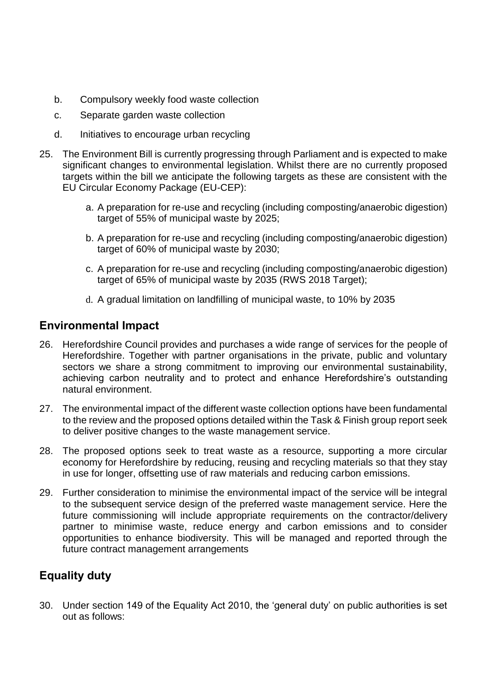- b. Compulsory weekly food waste collection
- c. Separate garden waste collection
- d. Initiatives to encourage urban recycling
- 25. The Environment Bill is currently progressing through Parliament and is expected to make significant changes to environmental legislation. Whilst there are no currently proposed targets within the bill we anticipate the following targets as these are consistent with the EU Circular Economy Package (EU-CEP):
	- a. A preparation for re-use and recycling (including composting/anaerobic digestion) target of 55% of municipal waste by 2025;
	- b. A preparation for re-use and recycling (including composting/anaerobic digestion) target of 60% of municipal waste by 2030;
	- c. A preparation for re-use and recycling (including composting/anaerobic digestion) target of 65% of municipal waste by 2035 (RWS 2018 Target);
	- d. A gradual limitation on landfilling of municipal waste, to 10% by 2035

## **Environmental Impact**

- 26. Herefordshire Council provides and purchases a wide range of services for the people of Herefordshire. Together with partner organisations in the private, public and voluntary sectors we share a strong commitment to improving our environmental sustainability, achieving carbon neutrality and to protect and enhance Herefordshire's outstanding natural environment.
- 27. The environmental impact of the different waste collection options have been fundamental to the review and the proposed options detailed within the Task & Finish group report seek to deliver positive changes to the waste management service.
- 28. The proposed options seek to treat waste as a resource, supporting a more circular economy for Herefordshire by reducing, reusing and recycling materials so that they stay in use for longer, offsetting use of raw materials and reducing carbon emissions.
- 29. Further consideration to minimise the environmental impact of the service will be integral to the subsequent service design of the preferred waste management service. Here the future commissioning will include appropriate requirements on the contractor/delivery partner to minimise waste, reduce energy and carbon emissions and to consider opportunities to enhance biodiversity. This will be managed and reported through the future contract management arrangements

# **Equality duty**

30. Under section 149 of the Equality Act 2010, the 'general duty' on public authorities is set out as follows: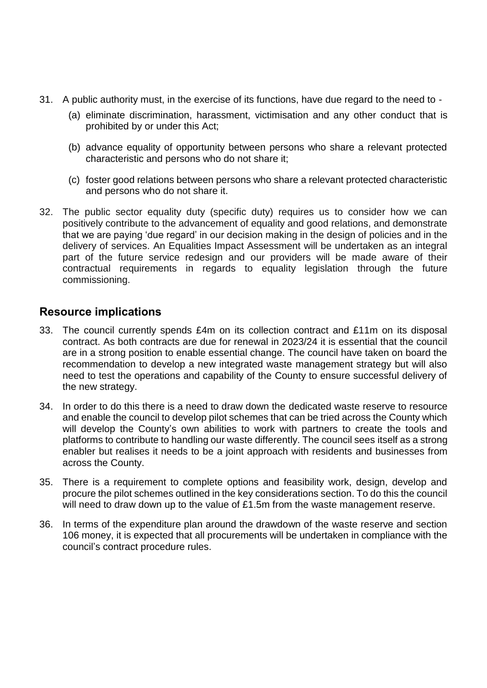- 31. A public authority must, in the exercise of its functions, have due regard to the need to
	- (a) eliminate discrimination, harassment, victimisation and any other conduct that is prohibited by or under this Act;
	- (b) advance equality of opportunity between persons who share a relevant protected characteristic and persons who do not share it;
	- (c) foster good relations between persons who share a relevant protected characteristic and persons who do not share it.
- 32. The public sector equality duty (specific duty) requires us to consider how we can positively contribute to the advancement of equality and good relations, and demonstrate that we are paying 'due regard' in our decision making in the design of policies and in the delivery of services. An Equalities Impact Assessment will be undertaken as an integral part of the future service redesign and our providers will be made aware of their contractual requirements in regards to equality legislation through the future commissioning.

# **Resource implications**

- 33. The council currently spends £4m on its collection contract and £11m on its disposal contract. As both contracts are due for renewal in 2023/24 it is essential that the council are in a strong position to enable essential change. The council have taken on board the recommendation to develop a new integrated waste management strategy but will also need to test the operations and capability of the County to ensure successful delivery of the new strategy.
- 34. In order to do this there is a need to draw down the dedicated waste reserve to resource and enable the council to develop pilot schemes that can be tried across the County which will develop the County's own abilities to work with partners to create the tools and platforms to contribute to handling our waste differently. The council sees itself as a strong enabler but realises it needs to be a joint approach with residents and businesses from across the County.
- 35. There is a requirement to complete options and feasibility work, design, develop and procure the pilot schemes outlined in the key considerations section. To do this the council will need to draw down up to the value of £1.5m from the waste management reserve.
- 36. In terms of the expenditure plan around the drawdown of the waste reserve and section 106 money, it is expected that all procurements will be undertaken in compliance with the council's contract procedure rules.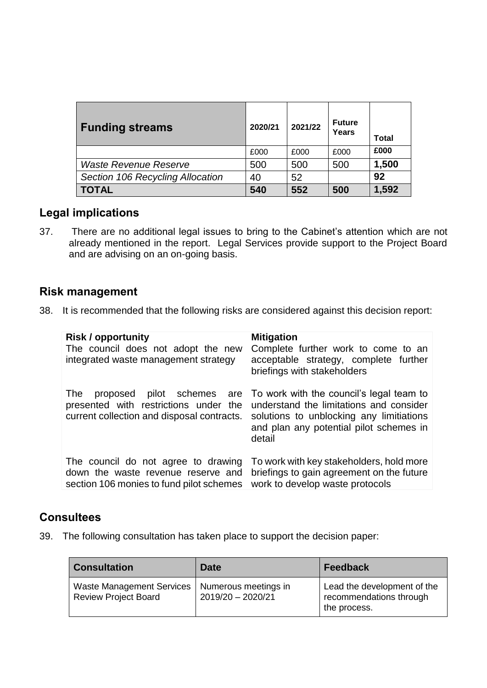| <b>Funding streams</b>           | 2020/21 | 2021/22 | <b>Future</b><br>Years | Total |
|----------------------------------|---------|---------|------------------------|-------|
|                                  | £000    | £000    | £000                   | £000  |
| <b>Waste Revenue Reserve</b>     | 500     | 500     | 500                    | 1,500 |
| Section 106 Recycling Allocation | 40      | 52      |                        | 92    |
| <b>TOTAL</b>                     | 540     | 552     | 500                    | 1,592 |

# **Legal implications**

37. There are no additional legal issues to bring to the Cabinet's attention which are not already mentioned in the report. Legal Services provide support to the Project Board and are advising on an on-going basis.

#### **Risk management**

38. It is recommended that the following risks are considered against this decision report:

| <b>Risk / opportunity</b><br>The council does not adopt the new<br>integrated waste management strategy | <b>Mitigation</b><br>Complete further work to come to an<br>acceptable strategy, complete further<br>briefings with stakeholders |
|---------------------------------------------------------------------------------------------------------|----------------------------------------------------------------------------------------------------------------------------------|
| pilot schemes are                                                                                       | To work with the council's legal team to                                                                                         |
| The                                                                                                     | understand the limitations and consider                                                                                          |
| proposed                                                                                                | solutions to unblocking any limitiations                                                                                         |
| presented with restrictions under the                                                                   | and plan any potential pilot schemes in                                                                                          |
| current collection and disposal contracts.                                                              | detail                                                                                                                           |
| The council do not agree to drawing                                                                     | To work with key stakeholders, hold more                                                                                         |
| down the waste revenue reserve and                                                                      | briefings to gain agreement on the future                                                                                        |
| section 106 monies to fund pilot schemes                                                                | work to develop waste protocols                                                                                                  |

#### **Consultees**

39. The following consultation has taken place to support the decision paper:

| <b>Consultation</b>                                             | Date                                      | <b>Feedback</b>                                                        |
|-----------------------------------------------------------------|-------------------------------------------|------------------------------------------------------------------------|
| <b>Waste Management Services</b><br><b>Review Project Board</b> | Numerous meetings in<br>2019/20 - 2020/21 | Lead the development of the<br>recommendations through<br>the process. |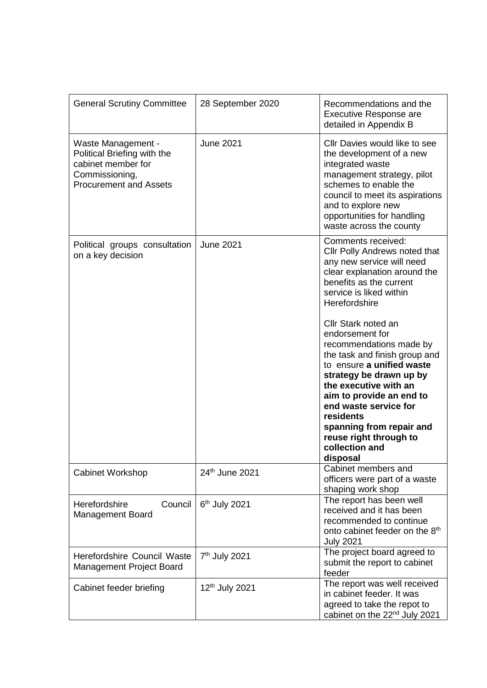| <b>General Scrutiny Committee</b>                                                                                          | 28 September 2020          | Recommendations and the<br>Executive Response are<br>detailed in Appendix B                                                                                                                                                                                                                                                               |
|----------------------------------------------------------------------------------------------------------------------------|----------------------------|-------------------------------------------------------------------------------------------------------------------------------------------------------------------------------------------------------------------------------------------------------------------------------------------------------------------------------------------|
| Waste Management -<br>Political Briefing with the<br>cabinet member for<br>Commissioning,<br><b>Procurement and Assets</b> | <b>June 2021</b>           | Cllr Davies would like to see<br>the development of a new<br>integrated waste<br>management strategy, pilot<br>schemes to enable the<br>council to meet its aspirations<br>and to explore new<br>opportunities for handling<br>waste across the county                                                                                    |
| Political groups consultation<br>on a key decision                                                                         | <b>June 2021</b>           | Comments received:<br>Cllr Polly Andrews noted that<br>any new service will need<br>clear explanation around the<br>benefits as the current<br>service is liked within<br>Herefordshire                                                                                                                                                   |
|                                                                                                                            |                            | Cllr Stark noted an<br>endorsement for<br>recommendations made by<br>the task and finish group and<br>to ensure a unified waste<br>strategy be drawn up by<br>the executive with an<br>aim to provide an end to<br>end waste service for<br>residents<br>spanning from repair and<br>reuse right through to<br>collection and<br>disposal |
| <b>Cabinet Workshop</b>                                                                                                    | 24th June 2021             | Cabinet members and<br>officers were part of a waste<br>shaping work shop                                                                                                                                                                                                                                                                 |
| Herefordshire<br>Council<br><b>Management Board</b>                                                                        | 6 <sup>th</sup> July 2021  | The report has been well<br>received and it has been<br>recommended to continue<br>onto cabinet feeder on the 8 <sup>th</sup><br><b>July 2021</b>                                                                                                                                                                                         |
| Herefordshire Council Waste<br>Management Project Board                                                                    | 7 <sup>th</sup> July 2021  | The project board agreed to<br>submit the report to cabinet<br>feeder                                                                                                                                                                                                                                                                     |
| Cabinet feeder briefing                                                                                                    | 12 <sup>th</sup> July 2021 | The report was well received<br>in cabinet feeder. It was<br>agreed to take the repot to<br>cabinet on the 22 <sup>nd</sup> July 2021                                                                                                                                                                                                     |